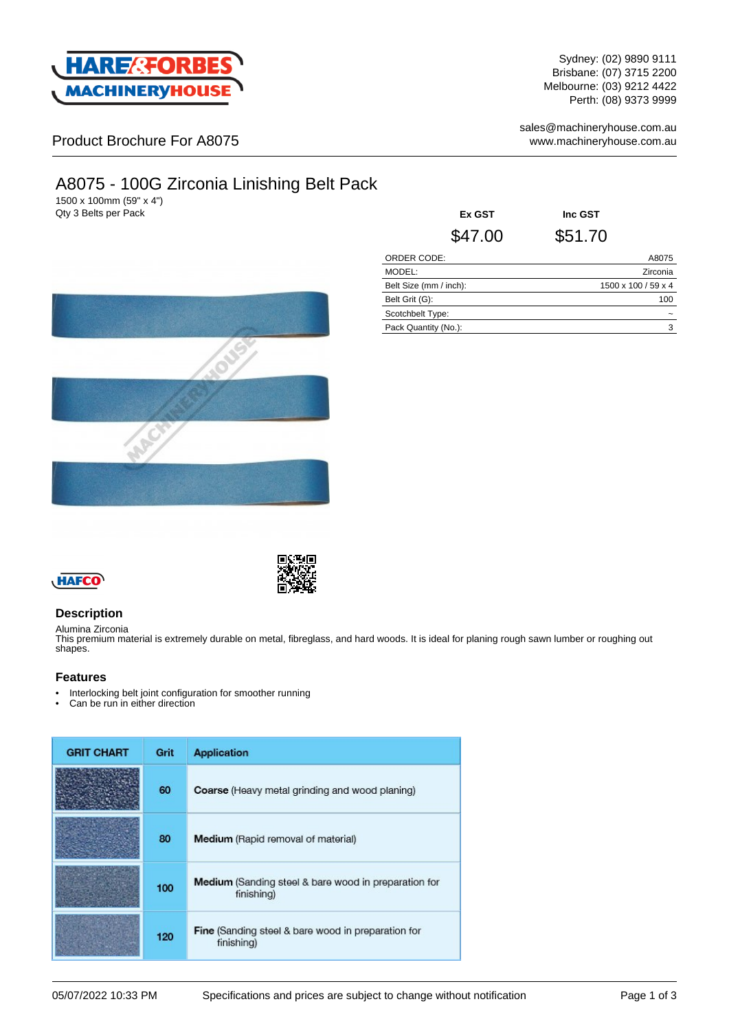

Sydney: (02) 9890 9111 Brisbane: (07) 3715 2200 Melbourne: (03) 9212 4422 Perth: (08) 9373 9999

sales@machineryhouse.com.au www.machineryhouse.com.au

## Product Brochure For A8075

# A8075 - 100G Zirconia Linishing Belt Pack

1500 x 100mm (59" x 4") **Qty 3 Belts per Pack** 

| <b>Ex GST</b>          | Inc GST             |
|------------------------|---------------------|
| \$47.00                | \$51.70             |
| ORDER CODE:            | A8075               |
| MODEL:                 | Zirconia            |
| Belt Size (mm / inch): | 1500 x 100 / 59 x 4 |
| Belt Grit (G):         | 100                 |
| Scotchbelt Type:       |                     |
| Pack Quantity (No.):   | 3                   |





## **Description**

Alumina Zirconia This premium material is extremely durable on metal, fibreglass, and hard woods. It is ideal for planing rough sawn lumber or roughing out shapes.

### **Features**

- Interlocking belt joint configuration for smoother running<br>• Can be run in either direction
- Can be run in either direction

| <b>GRIT CHART</b> | Grit | <b>Application</b>                                                        |
|-------------------|------|---------------------------------------------------------------------------|
|                   | 60   | Coarse (Heavy metal grinding and wood planing)                            |
|                   | 80   | <b>Medium</b> (Rapid removal of material)                                 |
|                   | 100  | <b>Medium</b> (Sanding steel & bare wood in preparation for<br>finishing) |
|                   | 120  | <b>Fine</b> (Sanding steel & bare wood in preparation for<br>finishing)   |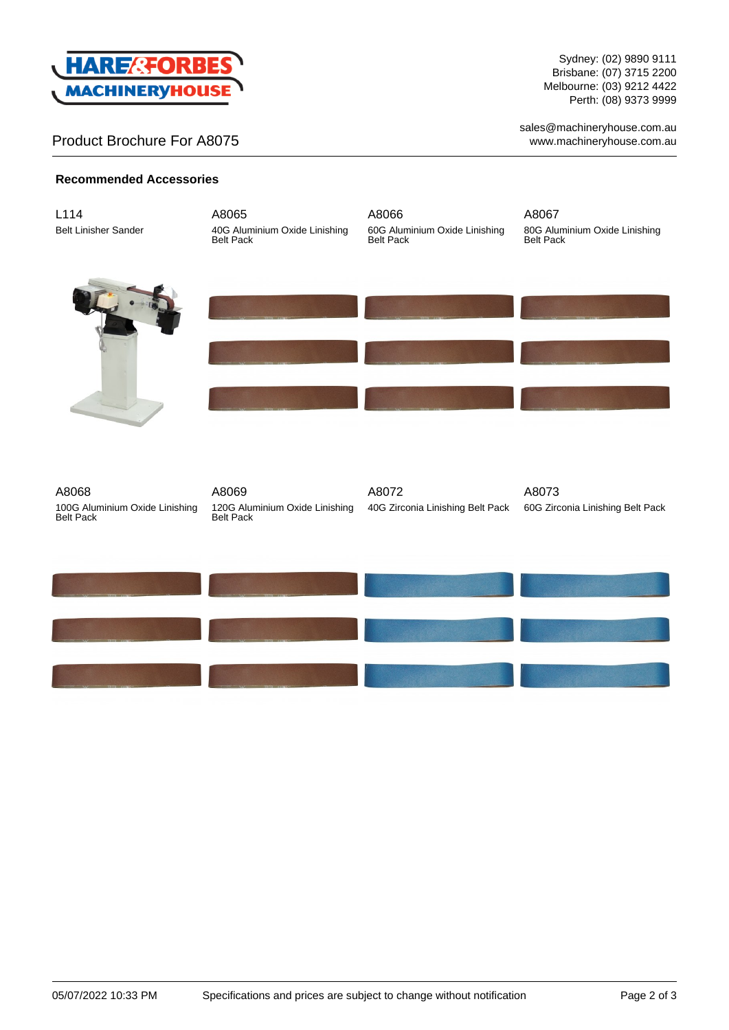

## Product Brochure For A8075

Sydney: (02) 9890 9111 Brisbane: (07) 3715 2200 Melbourne: (03) 9212 4422 Perth: (08) 9373 9999

sales@machineryhouse.com.au www.machineryhouse.com.au

## **Recommended Accessories**

| L114<br><b>Belt Linisher Sander</b>                         | A8065<br>40G Aluminium Oxide Linishing<br>Belt Pack         | A8066<br>60G Aluminium Oxide Linishing<br>Belt Pack | A8067<br>80G Aluminium Oxide Linishing<br>Belt Pack |
|-------------------------------------------------------------|-------------------------------------------------------------|-----------------------------------------------------|-----------------------------------------------------|
|                                                             |                                                             |                                                     |                                                     |
|                                                             |                                                             |                                                     |                                                     |
| A8068<br>100G Aluminium Oxide Linishing<br><b>Belt Pack</b> | A8069<br>120G Aluminium Oxide Linishing<br><b>Belt Pack</b> | A8072<br>40G Zirconia Linishing Belt Pack           | A8073<br>60G Zirconia Linishing Belt Pack           |
|                                                             |                                                             |                                                     |                                                     |
|                                                             |                                                             |                                                     |                                                     |